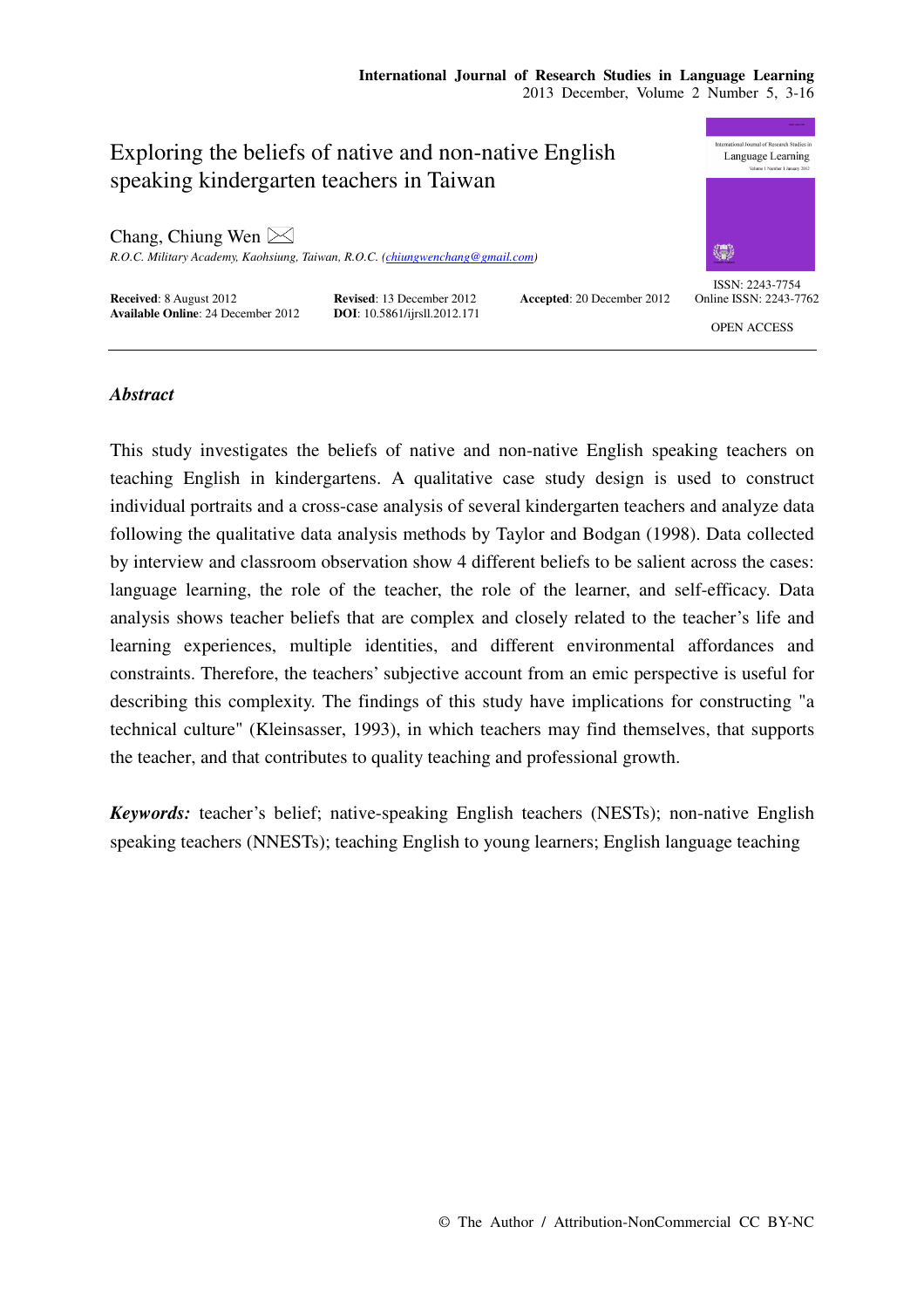# Exploring the beliefs of native and non-native English speaking kindergarten teachers in Taiwan

Chang, Chiung Wen  $\boxtimes$ 

*R.O.C. Military Academy, Kaohsiung, Taiwan, R.O.C. (chiungwenchang@gmail.com)* 

**Received:** 8 August 2012 **Revised:** 13 December 2012 **Accepted:** 20 December 2012 **Available Online:** 24 December 2012 **DOI:** 10.5861/ijrsll.2012.171 **Available Online**: 24 December 2012





ISSN: 2243-7754 Online ISSN: 2243-7762

OPEN ACCESS

## *Abstract*

This study investigates the beliefs of native and non-native English speaking teachers on teaching English in kindergartens. A qualitative case study design is used to construct individual portraits and a cross-case analysis of several kindergarten teachers and analyze data following the qualitative data analysis methods by Taylor and Bodgan (1998). Data collected by interview and classroom observation show 4 different beliefs to be salient across the cases: language learning, the role of the teacher, the role of the learner, and self-efficacy. Data analysis shows teacher beliefs that are complex and closely related to the teacher's life and learning experiences, multiple identities, and different environmental affordances and constraints. Therefore, the teachers' subjective account from an emic perspective is useful for describing this complexity. The findings of this study have implications for constructing "a technical culture" (Kleinsasser, 1993), in which teachers may find themselves, that supports the teacher, and that contributes to quality teaching and professional growth.

*Keywords:* teacher's belief; native-speaking English teachers (NESTs); non-native English speaking teachers (NNESTs); teaching English to young learners; English language teaching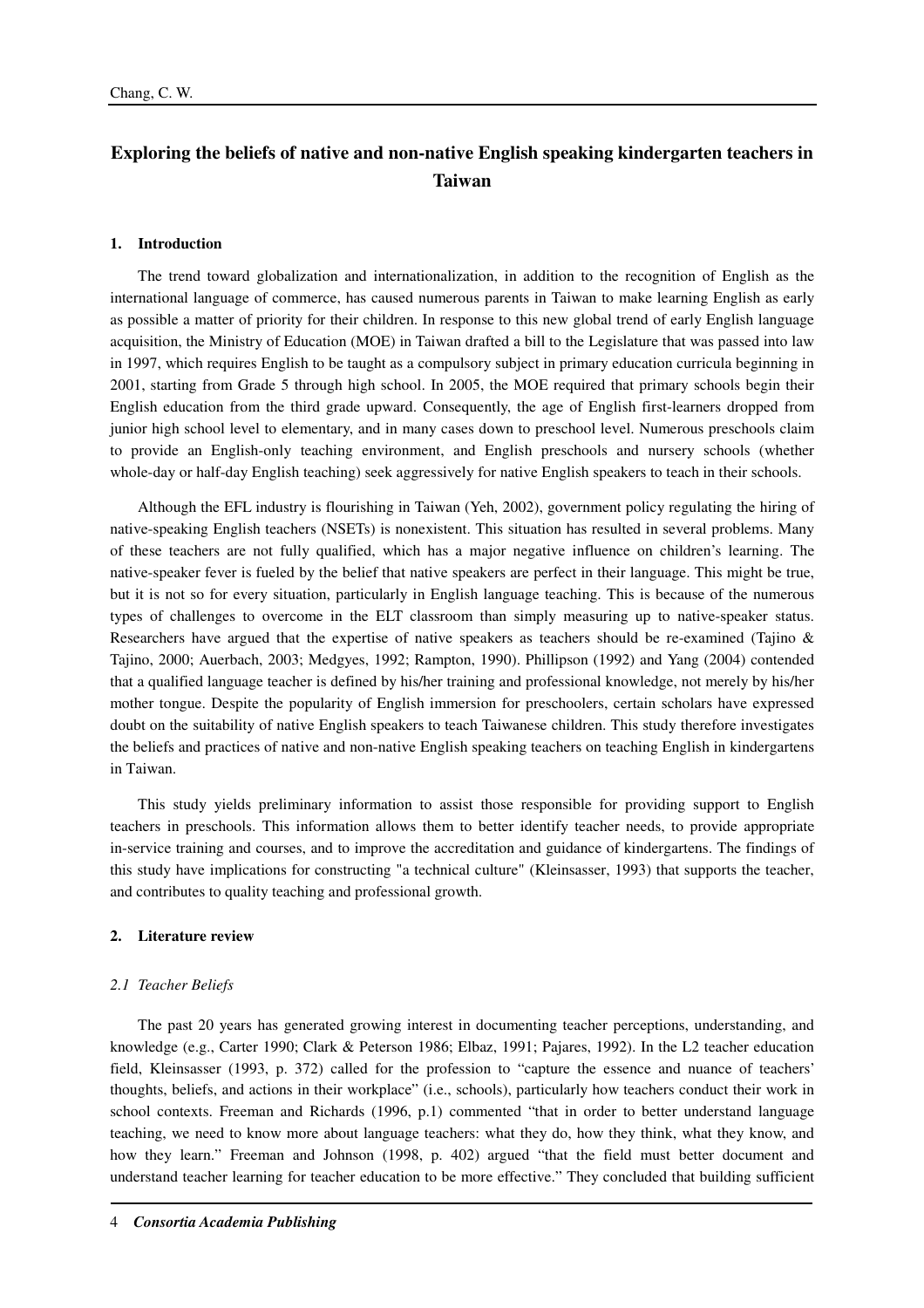## **Exploring the beliefs of native and non-native English speaking kindergarten teachers in Taiwan**

#### **1. Introduction**

The trend toward globalization and internationalization, in addition to the recognition of English as the international language of commerce, has caused numerous parents in Taiwan to make learning English as early as possible a matter of priority for their children. In response to this new global trend of early English language acquisition, the Ministry of Education (MOE) in Taiwan drafted a bill to the Legislature that was passed into law in 1997, which requires English to be taught as a compulsory subject in primary education curricula beginning in 2001, starting from Grade 5 through high school. In 2005, the MOE required that primary schools begin their English education from the third grade upward. Consequently, the age of English first-learners dropped from junior high school level to elementary, and in many cases down to preschool level. Numerous preschools claim to provide an English-only teaching environment, and English preschools and nursery schools (whether whole-day or half-day English teaching) seek aggressively for native English speakers to teach in their schools.

Although the EFL industry is flourishing in Taiwan (Yeh, 2002), government policy regulating the hiring of native-speaking English teachers (NSETs) is nonexistent. This situation has resulted in several problems. Many of these teachers are not fully qualified, which has a major negative influence on children's learning. The native-speaker fever is fueled by the belief that native speakers are perfect in their language. This might be true, but it is not so for every situation, particularly in English language teaching. This is because of the numerous types of challenges to overcome in the ELT classroom than simply measuring up to native-speaker status. Researchers have argued that the expertise of native speakers as teachers should be re-examined (Tajino & Tajino, 2000; Auerbach, 2003; Medgyes, 1992; Rampton, 1990). Phillipson (1992) and Yang (2004) contended that a qualified language teacher is defined by his/her training and professional knowledge, not merely by his/her mother tongue. Despite the popularity of English immersion for preschoolers, certain scholars have expressed doubt on the suitability of native English speakers to teach Taiwanese children. This study therefore investigates the beliefs and practices of native and non-native English speaking teachers on teaching English in kindergartens in Taiwan.

This study yields preliminary information to assist those responsible for providing support to English teachers in preschools. This information allows them to better identify teacher needs, to provide appropriate in-service training and courses, and to improve the accreditation and guidance of kindergartens. The findings of this study have implications for constructing "a technical culture" (Kleinsasser, 1993) that supports the teacher, and contributes to quality teaching and professional growth.

#### **2. Literature review**

#### *2.1 Teacher Beliefs*

The past 20 years has generated growing interest in documenting teacher perceptions, understanding, and knowledge (e.g., Carter 1990; Clark & Peterson 1986; Elbaz, 1991; Pajares, 1992). In the L2 teacher education field, Kleinsasser (1993, p. 372) called for the profession to "capture the essence and nuance of teachers' thoughts, beliefs, and actions in their workplace" (i.e., schools), particularly how teachers conduct their work in school contexts. Freeman and Richards (1996, p.1) commented "that in order to better understand language teaching, we need to know more about language teachers: what they do, how they think, what they know, and how they learn." Freeman and Johnson (1998, p. 402) argued "that the field must better document and understand teacher learning for teacher education to be more effective." They concluded that building sufficient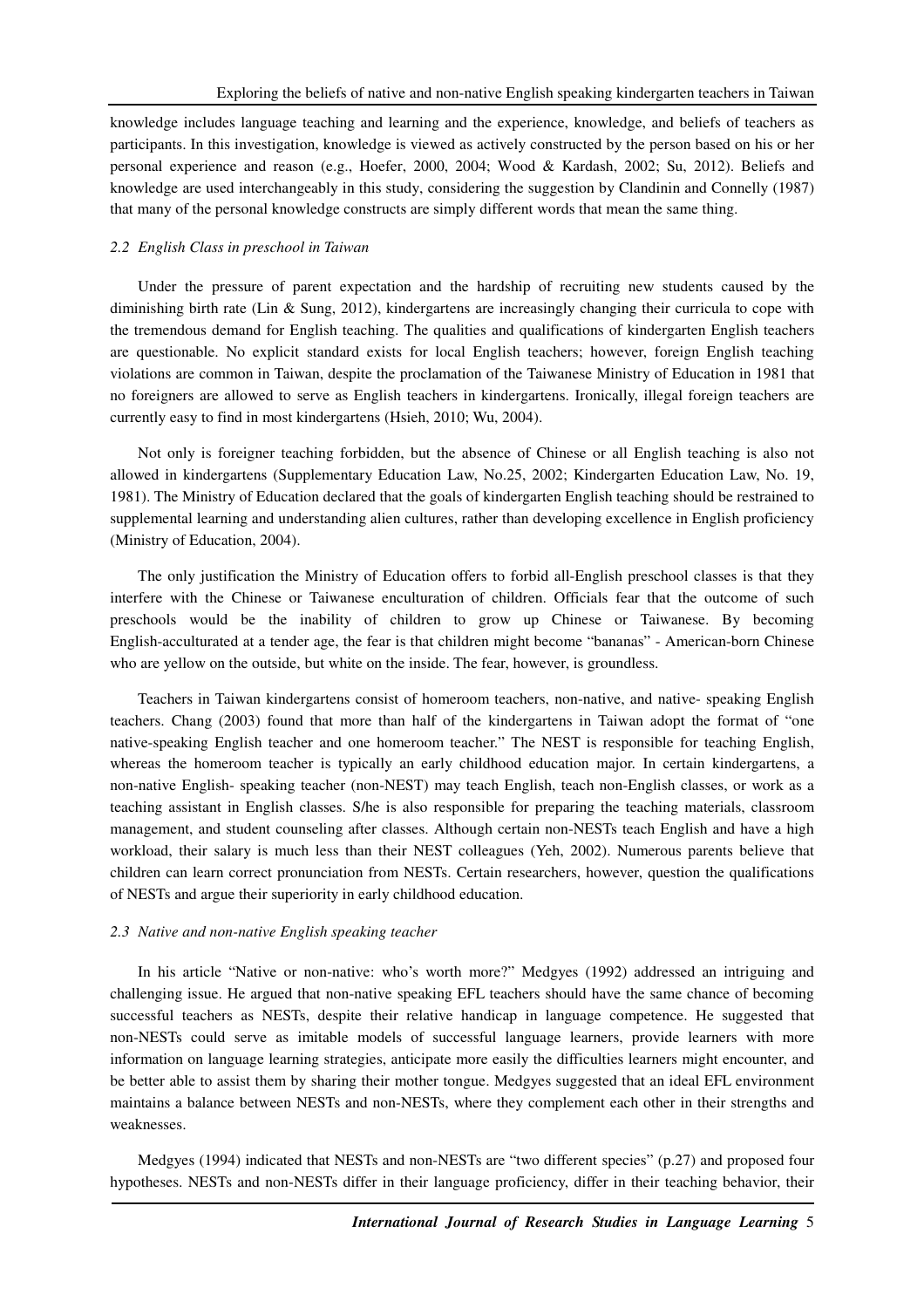knowledge includes language teaching and learning and the experience, knowledge, and beliefs of teachers as participants. In this investigation, knowledge is viewed as actively constructed by the person based on his or her personal experience and reason (e.g., Hoefer, 2000, 2004; Wood & Kardash, 2002; Su, 2012). Beliefs and knowledge are used interchangeably in this study, considering the suggestion by Clandinin and Connelly (1987) that many of the personal knowledge constructs are simply different words that mean the same thing.

#### *2.2 English Class in preschool in Taiwan*

Under the pressure of parent expectation and the hardship of recruiting new students caused by the diminishing birth rate (Lin & Sung, 2012), kindergartens are increasingly changing their curricula to cope with the tremendous demand for English teaching. The qualities and qualifications of kindergarten English teachers are questionable. No explicit standard exists for local English teachers; however, foreign English teaching violations are common in Taiwan, despite the proclamation of the Taiwanese Ministry of Education in 1981 that no foreigners are allowed to serve as English teachers in kindergartens. Ironically, illegal foreign teachers are currently easy to find in most kindergartens (Hsieh, 2010; Wu, 2004).

Not only is foreigner teaching forbidden, but the absence of Chinese or all English teaching is also not allowed in kindergartens (Supplementary Education Law, No.25, 2002; Kindergarten Education Law, No. 19, 1981). The Ministry of Education declared that the goals of kindergarten English teaching should be restrained to supplemental learning and understanding alien cultures, rather than developing excellence in English proficiency (Ministry of Education, 2004).

The only justification the Ministry of Education offers to forbid all-English preschool classes is that they interfere with the Chinese or Taiwanese enculturation of children. Officials fear that the outcome of such preschools would be the inability of children to grow up Chinese or Taiwanese. By becoming English-acculturated at a tender age, the fear is that children might become "bananas" - American-born Chinese who are yellow on the outside, but white on the inside. The fear, however, is groundless.

Teachers in Taiwan kindergartens consist of homeroom teachers, non-native, and native- speaking English teachers. Chang (2003) found that more than half of the kindergartens in Taiwan adopt the format of "one native-speaking English teacher and one homeroom teacher." The NEST is responsible for teaching English, whereas the homeroom teacher is typically an early childhood education major. In certain kindergartens, a non-native English- speaking teacher (non-NEST) may teach English, teach non-English classes, or work as a teaching assistant in English classes. S/he is also responsible for preparing the teaching materials, classroom management, and student counseling after classes. Although certain non-NESTs teach English and have a high workload, their salary is much less than their NEST colleagues (Yeh, 2002). Numerous parents believe that children can learn correct pronunciation from NESTs. Certain researchers, however, question the qualifications of NESTs and argue their superiority in early childhood education.

### *2.3 Native and non-native English speaking teacher*

In his article "Native or non-native: who's worth more?" Medgyes (1992) addressed an intriguing and challenging issue. He argued that non-native speaking EFL teachers should have the same chance of becoming successful teachers as NESTs, despite their relative handicap in language competence. He suggested that non-NESTs could serve as imitable models of successful language learners, provide learners with more information on language learning strategies, anticipate more easily the difficulties learners might encounter, and be better able to assist them by sharing their mother tongue. Medgyes suggested that an ideal EFL environment maintains a balance between NESTs and non-NESTs, where they complement each other in their strengths and weaknesses.

Medgyes (1994) indicated that NESTs and non-NESTs are "two different species" (p.27) and proposed four hypotheses. NESTs and non-NESTs differ in their language proficiency, differ in their teaching behavior, their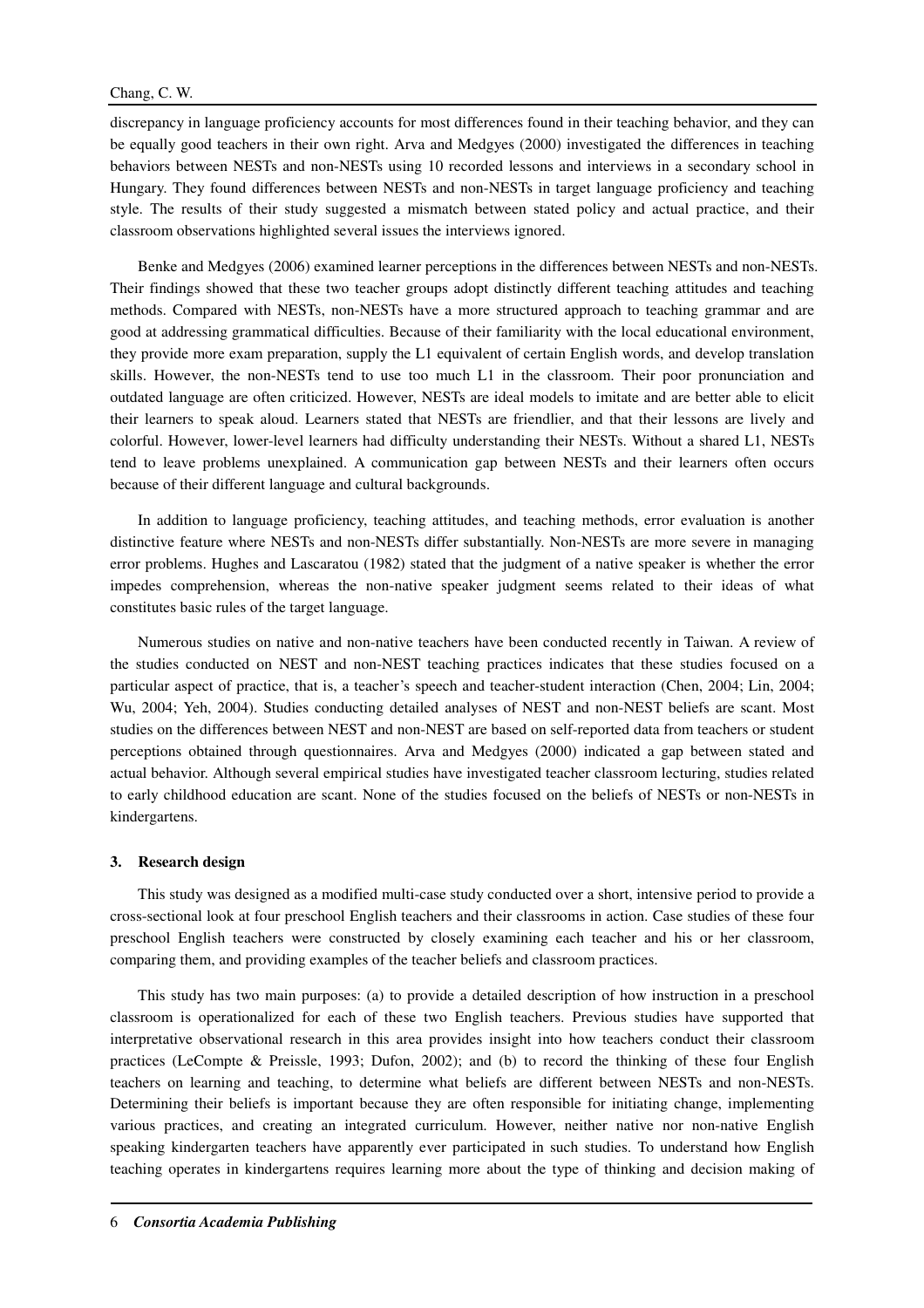## Chang, C. W.

discrepancy in language proficiency accounts for most differences found in their teaching behavior, and they can be equally good teachers in their own right. Arva and Medgyes (2000) investigated the differences in teaching behaviors between NESTs and non-NESTs using 10 recorded lessons and interviews in a secondary school in Hungary. They found differences between NESTs and non-NESTs in target language proficiency and teaching style. The results of their study suggested a mismatch between stated policy and actual practice, and their classroom observations highlighted several issues the interviews ignored.

Benke and Medgyes (2006) examined learner perceptions in the differences between NESTs and non-NESTs. Their findings showed that these two teacher groups adopt distinctly different teaching attitudes and teaching methods. Compared with NESTs, non-NESTs have a more structured approach to teaching grammar and are good at addressing grammatical difficulties. Because of their familiarity with the local educational environment, they provide more exam preparation, supply the L1 equivalent of certain English words, and develop translation skills. However, the non-NESTs tend to use too much L1 in the classroom. Their poor pronunciation and outdated language are often criticized. However, NESTs are ideal models to imitate and are better able to elicit their learners to speak aloud. Learners stated that NESTs are friendlier, and that their lessons are lively and colorful. However, lower-level learners had difficulty understanding their NESTs. Without a shared L1, NESTs tend to leave problems unexplained. A communication gap between NESTs and their learners often occurs because of their different language and cultural backgrounds.

In addition to language proficiency, teaching attitudes, and teaching methods, error evaluation is another distinctive feature where NESTs and non-NESTs differ substantially. Non-NESTs are more severe in managing error problems. Hughes and Lascaratou (1982) stated that the judgment of a native speaker is whether the error impedes comprehension, whereas the non-native speaker judgment seems related to their ideas of what constitutes basic rules of the target language.

Numerous studies on native and non-native teachers have been conducted recently in Taiwan. A review of the studies conducted on NEST and non-NEST teaching practices indicates that these studies focused on a particular aspect of practice, that is, a teacher's speech and teacher-student interaction (Chen, 2004; Lin, 2004; Wu, 2004; Yeh, 2004). Studies conducting detailed analyses of NEST and non-NEST beliefs are scant. Most studies on the differences between NEST and non-NEST are based on self-reported data from teachers or student perceptions obtained through questionnaires. Arva and Medgyes (2000) indicated a gap between stated and actual behavior. Although several empirical studies have investigated teacher classroom lecturing, studies related to early childhood education are scant. None of the studies focused on the beliefs of NESTs or non-NESTs in kindergartens.

#### **3. Research design**

This study was designed as a modified multi-case study conducted over a short, intensive period to provide a cross-sectional look at four preschool English teachers and their classrooms in action. Case studies of these four preschool English teachers were constructed by closely examining each teacher and his or her classroom, comparing them, and providing examples of the teacher beliefs and classroom practices.

This study has two main purposes: (a) to provide a detailed description of how instruction in a preschool classroom is operationalized for each of these two English teachers. Previous studies have supported that interpretative observational research in this area provides insight into how teachers conduct their classroom practices (LeCompte & Preissle, 1993; Dufon, 2002); and (b) to record the thinking of these four English teachers on learning and teaching, to determine what beliefs are different between NESTs and non-NESTs. Determining their beliefs is important because they are often responsible for initiating change, implementing various practices, and creating an integrated curriculum. However, neither native nor non-native English speaking kindergarten teachers have apparently ever participated in such studies. To understand how English teaching operates in kindergartens requires learning more about the type of thinking and decision making of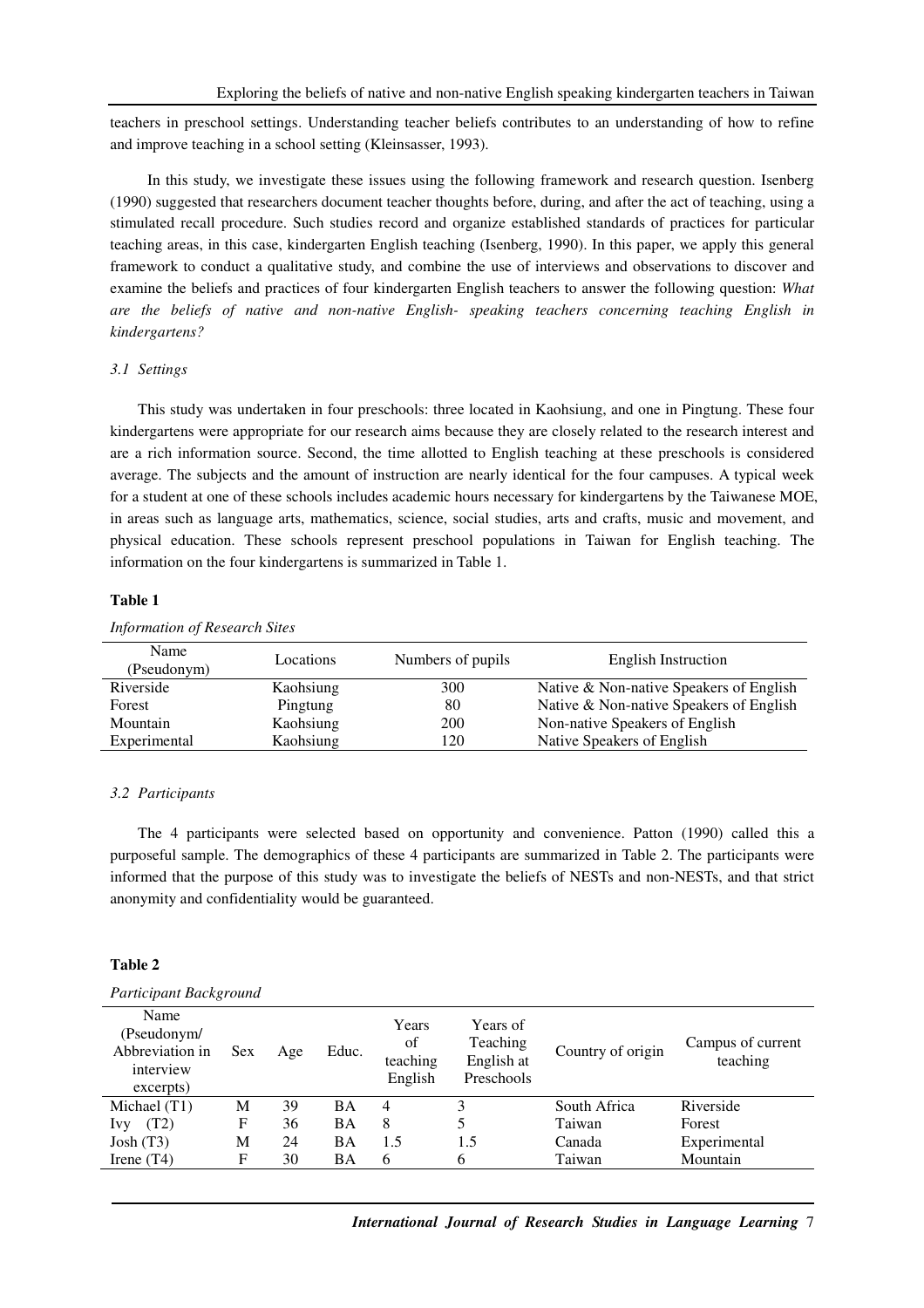teachers in preschool settings. Understanding teacher beliefs contributes to an understanding of how to refine and improve teaching in a school setting (Kleinsasser, 1993).

 In this study, we investigate these issues using the following framework and research question. Isenberg (1990) suggested that researchers document teacher thoughts before, during, and after the act of teaching, using a stimulated recall procedure. Such studies record and organize established standards of practices for particular teaching areas, in this case, kindergarten English teaching (Isenberg, 1990). In this paper, we apply this general framework to conduct a qualitative study, and combine the use of interviews and observations to discover and examine the beliefs and practices of four kindergarten English teachers to answer the following question: *What are the beliefs of native and non-native English- speaking teachers concerning teaching English in kindergartens?*

#### *3.1 Settings*

This study was undertaken in four preschools: three located in Kaohsiung, and one in Pingtung. These four kindergartens were appropriate for our research aims because they are closely related to the research interest and are a rich information source. Second, the time allotted to English teaching at these preschools is considered average. The subjects and the amount of instruction are nearly identical for the four campuses. A typical week for a student at one of these schools includes academic hours necessary for kindergartens by the Taiwanese MOE, in areas such as language arts, mathematics, science, social studies, arts and crafts, music and movement, and physical education. These schools represent preschool populations in Taiwan for English teaching. The information on the four kindergartens is summarized in Table 1.

#### **Table 1**

## *Information of Research Sites*

| Name<br>(Pseudonym) | Locations | Numbers of pupils | English Instruction                     |  |
|---------------------|-----------|-------------------|-----------------------------------------|--|
| Riverside           | Kaohsiung | 300               | Native & Non-native Speakers of English |  |
| Forest              | Pingtung  | 80                | Native & Non-native Speakers of English |  |
| Mountain            | Kaohsiung | 200               | Non-native Speakers of English          |  |
| Experimental        | Kaohsiung | . 20              | Native Speakers of English              |  |

#### *3.2 Participants*

The 4 participants were selected based on opportunity and convenience. Patton (1990) called this a purposeful sample. The demographics of these 4 participants are summarized in Table 2. The participants were informed that the purpose of this study was to investigate the beliefs of NESTs and non-NESTs, and that strict anonymity and confidentiality would be guaranteed.

### **Table 2**

#### *Participant Background*

| Name<br>(Pseudonym/<br>Abbreviation in<br>interview<br>excerpts) | <b>Sex</b> | Age | Educ. | Years<br>of<br>teaching<br>English | Years of<br>Teaching<br>English at<br>Preschools | Country of origin | Campus of current<br>teaching |
|------------------------------------------------------------------|------------|-----|-------|------------------------------------|--------------------------------------------------|-------------------|-------------------------------|
| Michael (T1)                                                     | M          | 39  | BA    | 4                                  |                                                  | South Africa      | Riverside                     |
| (T2)<br><b>IVV</b>                                               | F          | 36  | ВA    | 8                                  | 5                                                | Taiwan            | <b>Forest</b>                 |
| John(T3)                                                         | М          | 24  | BA    | 1.5                                | 1.5                                              | Canada            | Experimental                  |
| Irene $(T4)$                                                     | F          | 30  | ΒA    | 6                                  | 6                                                | Taiwan            | Mountain                      |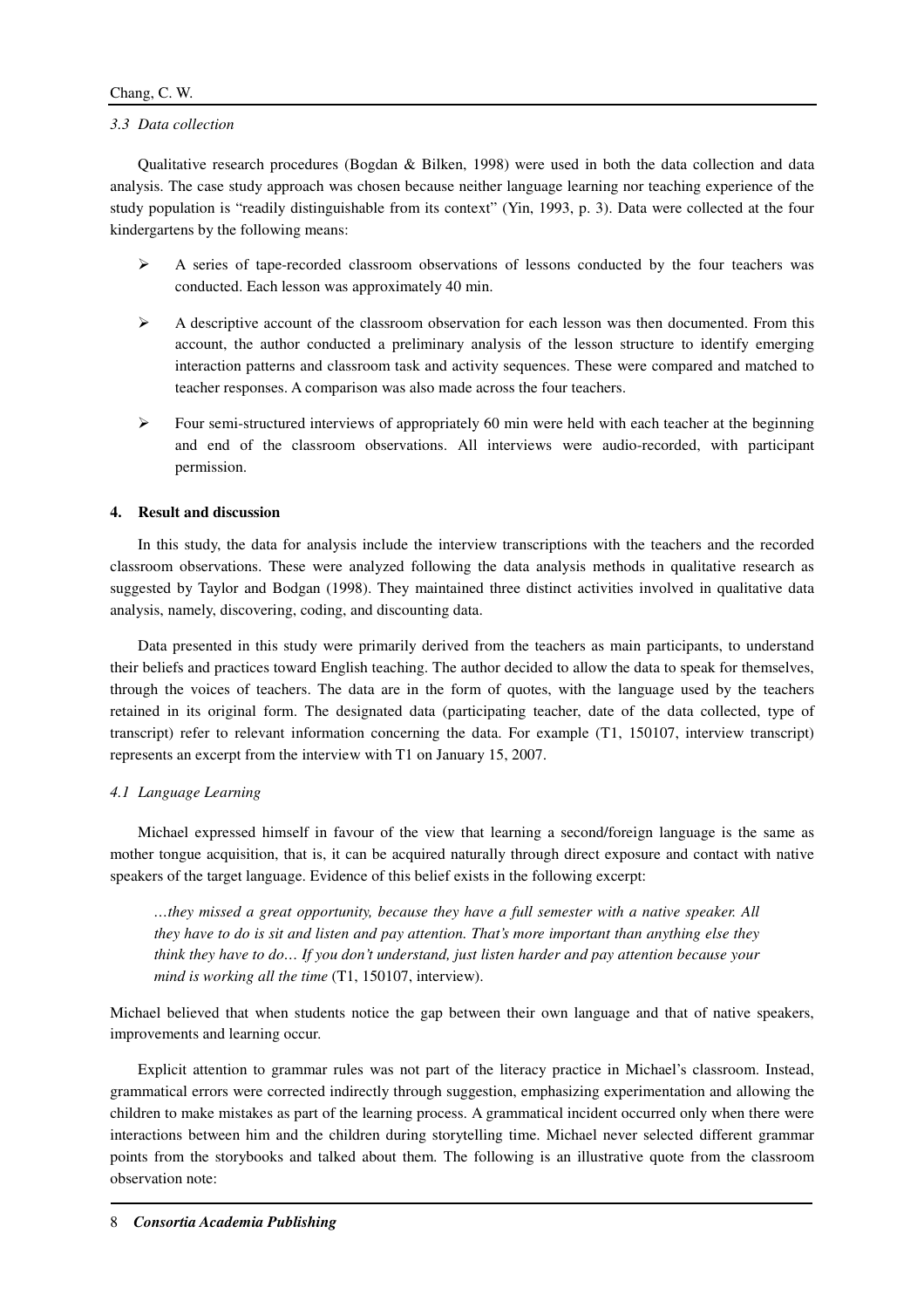### *3.3 Data collection*

Qualitative research procedures (Bogdan & Bilken, 1998) were used in both the data collection and data analysis. The case study approach was chosen because neither language learning nor teaching experience of the study population is "readily distinguishable from its context" (Yin, 1993, p. 3). Data were collected at the four kindergartens by the following means:

- $\triangleright$  A series of tape-recorded classroom observations of lessons conducted by the four teachers was conducted. Each lesson was approximately 40 min.
- $\triangleright$  A descriptive account of the classroom observation for each lesson was then documented. From this account, the author conducted a preliminary analysis of the lesson structure to identify emerging interaction patterns and classroom task and activity sequences. These were compared and matched to teacher responses. A comparison was also made across the four teachers.
- $\triangleright$  Four semi-structured interviews of appropriately 60 min were held with each teacher at the beginning and end of the classroom observations. All interviews were audio-recorded, with participant permission.

### **4. Result and discussion**

In this study, the data for analysis include the interview transcriptions with the teachers and the recorded classroom observations. These were analyzed following the data analysis methods in qualitative research as suggested by Taylor and Bodgan (1998). They maintained three distinct activities involved in qualitative data analysis, namely, discovering, coding, and discounting data.

Data presented in this study were primarily derived from the teachers as main participants, to understand their beliefs and practices toward English teaching. The author decided to allow the data to speak for themselves, through the voices of teachers. The data are in the form of quotes, with the language used by the teachers retained in its original form. The designated data (participating teacher, date of the data collected, type of transcript) refer to relevant information concerning the data. For example (T1, 150107, interview transcript) represents an excerpt from the interview with T1 on January 15, 2007.

#### *4.1 Language Learning*

Michael expressed himself in favour of the view that learning a second/foreign language is the same as mother tongue acquisition, that is, it can be acquired naturally through direct exposure and contact with native speakers of the target language. Evidence of this belief exists in the following excerpt:

*…they missed a great opportunity, because they have a full semester with a native speaker. All they have to do is sit and listen and pay attention. That's more important than anything else they think they have to do… If you don't understand, just listen harder and pay attention because your mind is working all the time* (T1, 150107, interview).

Michael believed that when students notice the gap between their own language and that of native speakers, improvements and learning occur.

Explicit attention to grammar rules was not part of the literacy practice in Michael's classroom. Instead, grammatical errors were corrected indirectly through suggestion, emphasizing experimentation and allowing the children to make mistakes as part of the learning process. A grammatical incident occurred only when there were interactions between him and the children during storytelling time. Michael never selected different grammar points from the storybooks and talked about them. The following is an illustrative quote from the classroom observation note: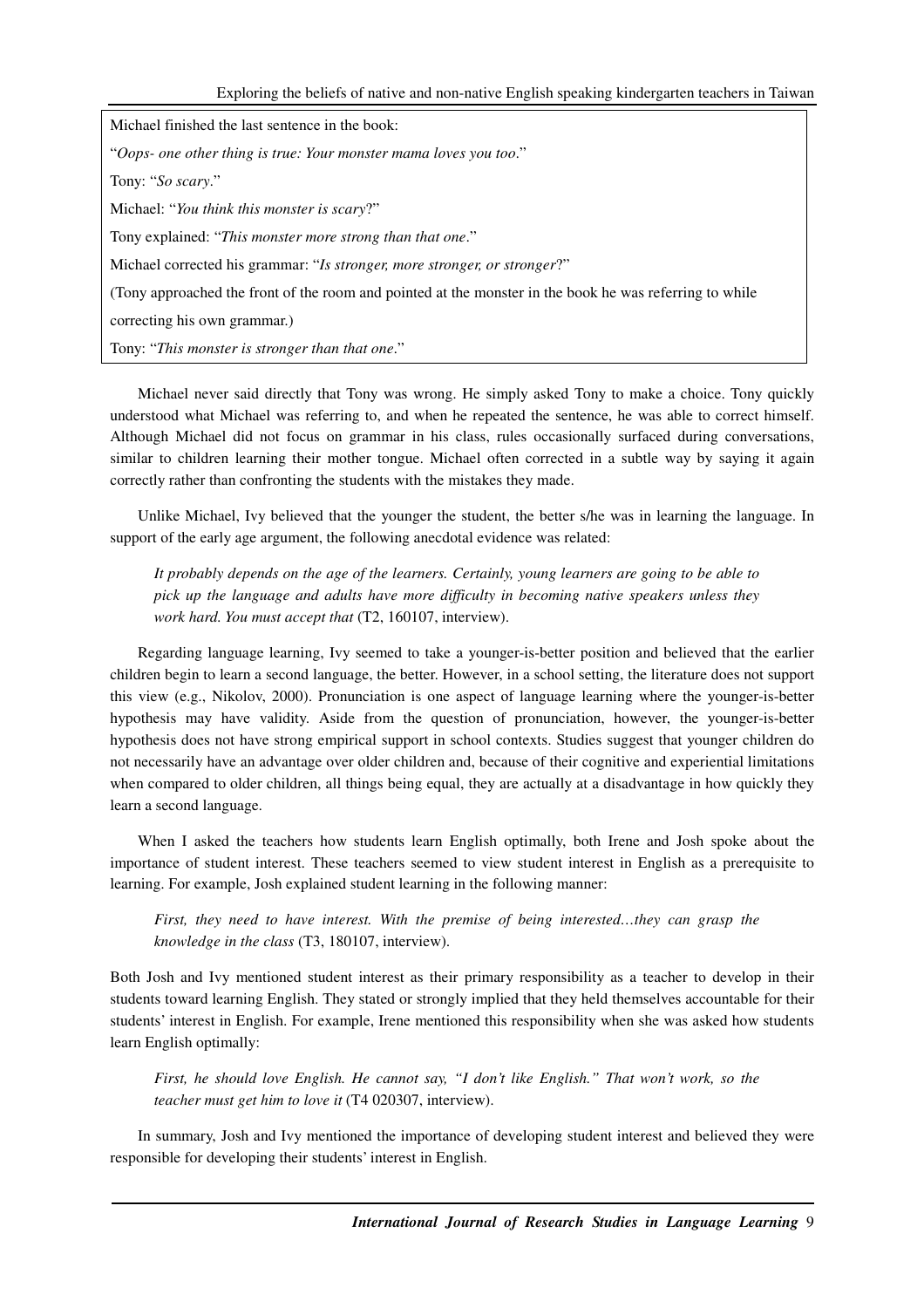| Michael finished the last sentence in the book:                                                         |
|---------------------------------------------------------------------------------------------------------|
| "Oops- one other thing is true: Your monster mama loves you too."                                       |
| Tony: "So scary."                                                                                       |
| Michael: "You think this monster is scary?"                                                             |
| Tony explained: "This monster more strong than that one."                                               |
| Michael corrected his grammar: "Is stronger, more stronger, or stronger?"                               |
| (Tony approached the front of the room and pointed at the monster in the book he was referring to while |
| correcting his own grammar.)                                                                            |
| Tony: "This monster is stronger than that one."                                                         |

Michael never said directly that Tony was wrong. He simply asked Tony to make a choice. Tony quickly understood what Michael was referring to, and when he repeated the sentence, he was able to correct himself. Although Michael did not focus on grammar in his class, rules occasionally surfaced during conversations, similar to children learning their mother tongue. Michael often corrected in a subtle way by saying it again correctly rather than confronting the students with the mistakes they made.

Unlike Michael, Ivy believed that the younger the student, the better s/he was in learning the language. In support of the early age argument, the following anecdotal evidence was related:

*It probably depends on the age of the learners. Certainly, young learners are going to be able to pick up the language and adults have more difficulty in becoming native speakers unless they work hard. You must accept that* (T2, 160107, interview).

Regarding language learning, Ivy seemed to take a younger-is-better position and believed that the earlier children begin to learn a second language, the better. However, in a school setting, the literature does not support this view (e.g., Nikolov, 2000). Pronunciation is one aspect of language learning where the younger-is-better hypothesis may have validity. Aside from the question of pronunciation, however, the younger-is-better hypothesis does not have strong empirical support in school contexts. Studies suggest that younger children do not necessarily have an advantage over older children and, because of their cognitive and experiential limitations when compared to older children, all things being equal, they are actually at a disadvantage in how quickly they learn a second language.

When I asked the teachers how students learn English optimally, both Irene and Josh spoke about the importance of student interest. These teachers seemed to view student interest in English as a prerequisite to learning. For example, Josh explained student learning in the following manner:

*First, they need to have interest. With the premise of being interested…they can grasp the knowledge in the class* (T3, 180107, interview).

Both Josh and Ivy mentioned student interest as their primary responsibility as a teacher to develop in their students toward learning English. They stated or strongly implied that they held themselves accountable for their students' interest in English. For example, Irene mentioned this responsibility when she was asked how students learn English optimally:

*First, he should love English. He cannot say, "I don't like English." That won't work, so the teacher must get him to love it* (T4 020307, interview).

In summary, Josh and Ivy mentioned the importance of developing student interest and believed they were responsible for developing their students' interest in English.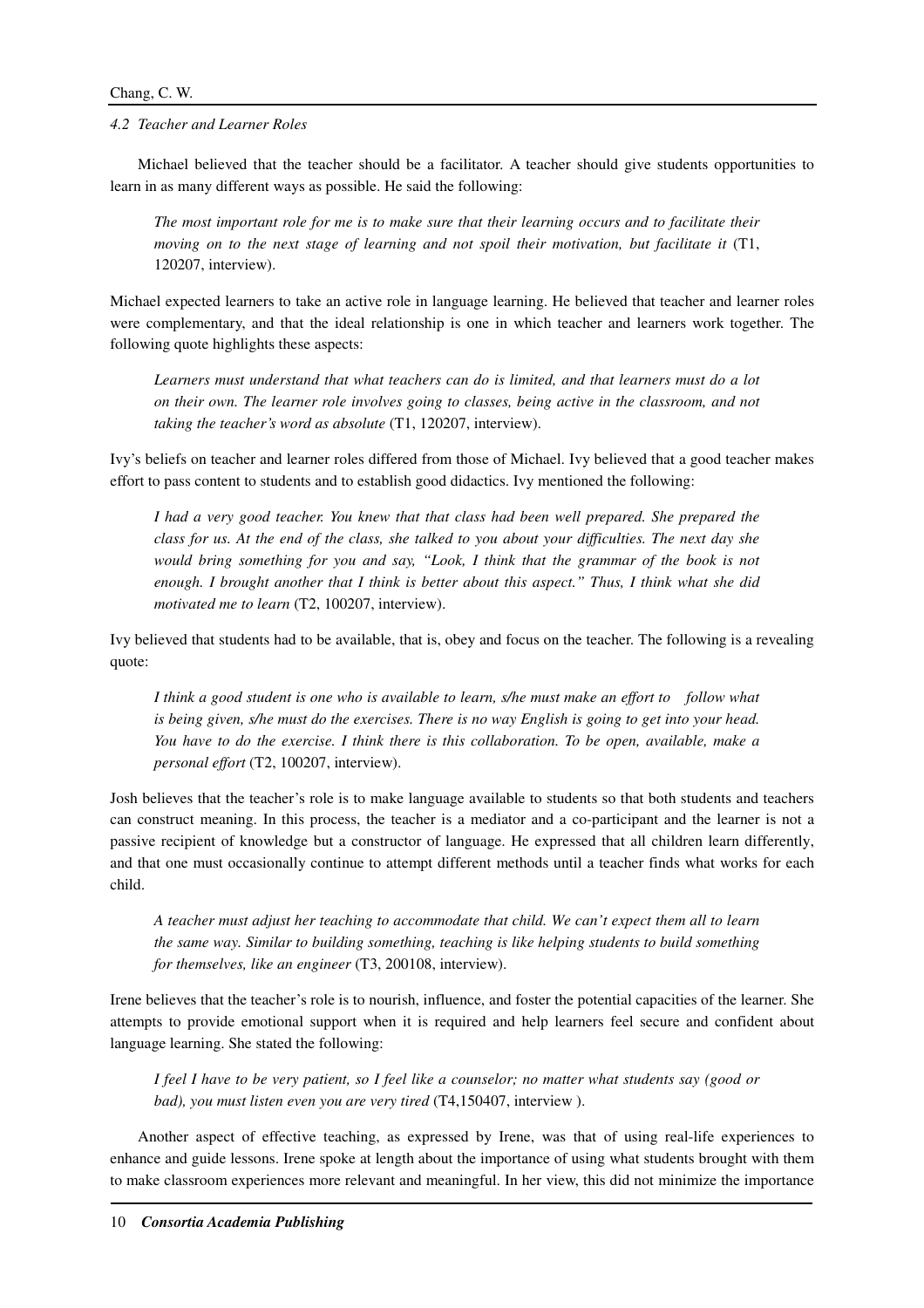### *4.2 Teacher and Learner Roles*

Michael believed that the teacher should be a facilitator. A teacher should give students opportunities to learn in as many different ways as possible. He said the following:

*The most important role for me is to make sure that their learning occurs and to facilitate their moving on to the next stage of learning and not spoil their motivation, but facilitate it* (T1, 120207, interview).

Michael expected learners to take an active role in language learning. He believed that teacher and learner roles were complementary, and that the ideal relationship is one in which teacher and learners work together. The following quote highlights these aspects:

*Learners must understand that what teachers can do is limited, and that learners must do a lot on their own. The learner role involves going to classes, being active in the classroom, and not taking the teacher's word as absolute* (T1, 120207, interview).

Ivy's beliefs on teacher and learner roles differed from those of Michael. Ivy believed that a good teacher makes effort to pass content to students and to establish good didactics. Ivy mentioned the following:

*I had a very good teacher. You knew that that class had been well prepared. She prepared the class for us. At the end of the class, she talked to you about your difficulties. The next day she*  would bring something for you and say, "Look, I think that the grammar of the book is not *enough. I brought another that I think is better about this aspect." Thus, I think what she did motivated me to learn* (T2, 100207, interview).

Ivy believed that students had to be available, that is, obey and focus on the teacher. The following is a revealing quote:

*I think a good student is one who is available to learn, s/he must make an effort to follow what is being given, s/he must do the exercises. There is no way English is going to get into your head. You have to do the exercise. I think there is this collaboration. To be open, available, make a personal effort* (T2, 100207, interview).

Josh believes that the teacher's role is to make language available to students so that both students and teachers can construct meaning. In this process, the teacher is a mediator and a co-participant and the learner is not a passive recipient of knowledge but a constructor of language. He expressed that all children learn differently, and that one must occasionally continue to attempt different methods until a teacher finds what works for each child.

*A teacher must adjust her teaching to accommodate that child. We can't expect them all to learn the same way. Similar to building something, teaching is like helping students to build something for themselves, like an engineer* (T3, 200108, interview).

Irene believes that the teacher's role is to nourish, influence, and foster the potential capacities of the learner. She attempts to provide emotional support when it is required and help learners feel secure and confident about language learning. She stated the following:

*I feel I have to be very patient, so I feel like a counselor; no matter what students say (good or bad), you must listen even you are very tired* (T4,150407, interview ).

Another aspect of effective teaching, as expressed by Irene, was that of using real-life experiences to enhance and guide lessons. Irene spoke at length about the importance of using what students brought with them to make classroom experiences more relevant and meaningful. In her view, this did not minimize the importance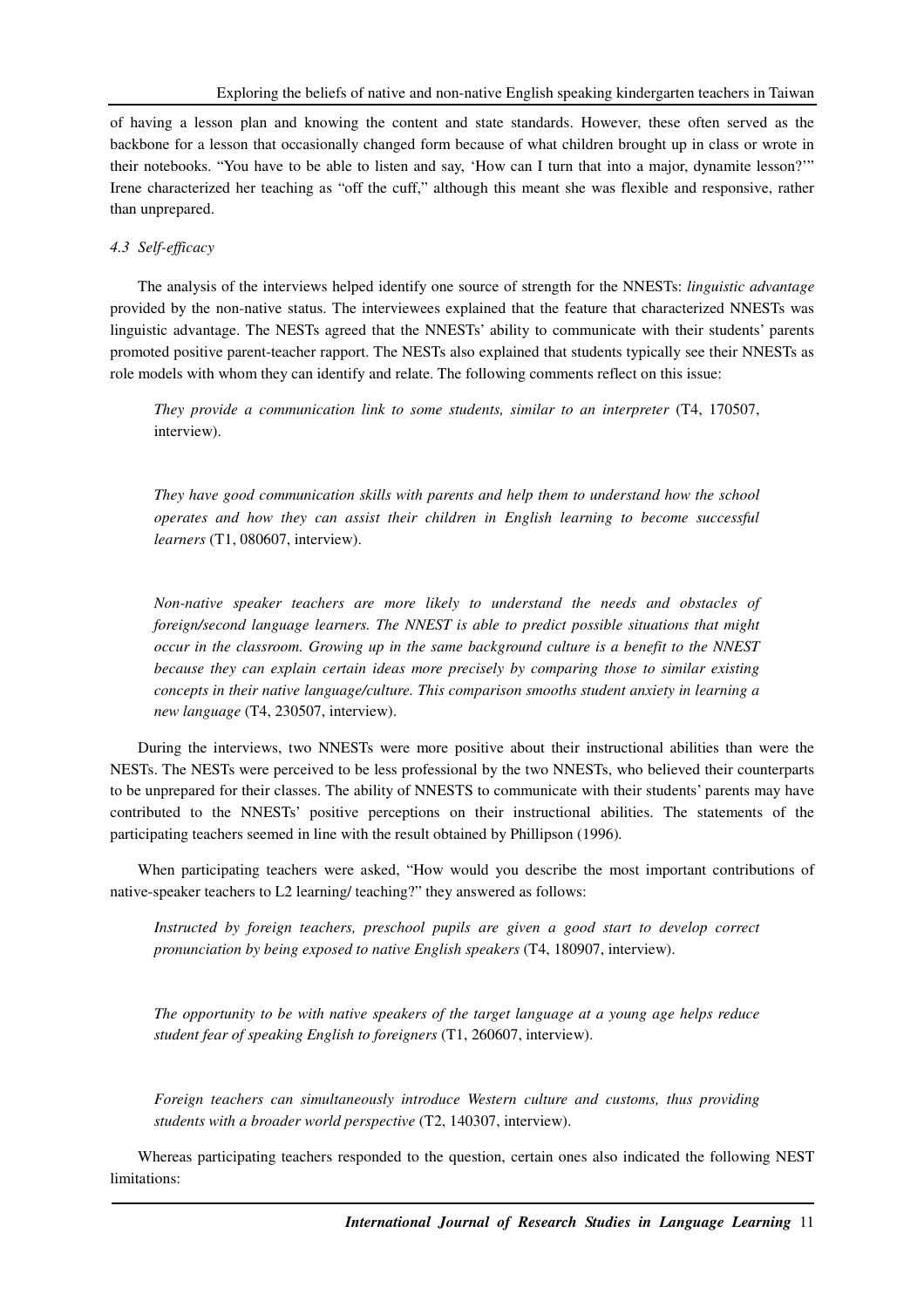of having a lesson plan and knowing the content and state standards. However, these often served as the backbone for a lesson that occasionally changed form because of what children brought up in class or wrote in their notebooks. "You have to be able to listen and say, 'How can I turn that into a major, dynamite lesson?'" Irene characterized her teaching as "off the cuff," although this meant she was flexible and responsive, rather than unprepared.

### *4.3 Self-efficacy*

The analysis of the interviews helped identify one source of strength for the NNESTs: *linguistic advantage* provided by the non-native status. The interviewees explained that the feature that characterized NNESTs was linguistic advantage. The NESTs agreed that the NNESTs' ability to communicate with their students' parents promoted positive parent-teacher rapport. The NESTs also explained that students typically see their NNESTs as role models with whom they can identify and relate. The following comments reflect on this issue:

*They provide a communication link to some students, similar to an interpreter (T4, 170507,* interview).

*They have good communication skills with parents and help them to understand how the school operates and how they can assist their children in English learning to become successful learners* (T1, 080607, interview).

*Non-native speaker teachers are more likely to understand the needs and obstacles of foreign/second language learners. The NNEST is able to predict possible situations that might occur in the classroom. Growing up in the same background culture is a benefit to the NNEST because they can explain certain ideas more precisely by comparing those to similar existing concepts in their native language/culture. This comparison smooths student anxiety in learning a new language* (T4, 230507, interview).

During the interviews, two NNESTs were more positive about their instructional abilities than were the NESTs. The NESTs were perceived to be less professional by the two NNESTs, who believed their counterparts to be unprepared for their classes. The ability of NNESTS to communicate with their students' parents may have contributed to the NNESTs' positive perceptions on their instructional abilities. The statements of the participating teachers seemed in line with the result obtained by Phillipson (1996)*.* 

When participating teachers were asked, "How would you describe the most important contributions of native-speaker teachers to L2 learning/ teaching?" they answered as follows:

*Instructed by foreign teachers, preschool pupils are given a good start to develop correct pronunciation by being exposed to native English speakers* (T4, 180907, interview).

*The opportunity to be with native speakers of the target language at a young age helps reduce student fear of speaking English to foreigners* (T1, 260607, interview).

*Foreign teachers can simultaneously introduce Western culture and customs, thus providing students with a broader world perspective* (T2, 140307, interview).

Whereas participating teachers responded to the question, certain ones also indicated the following NEST limitations: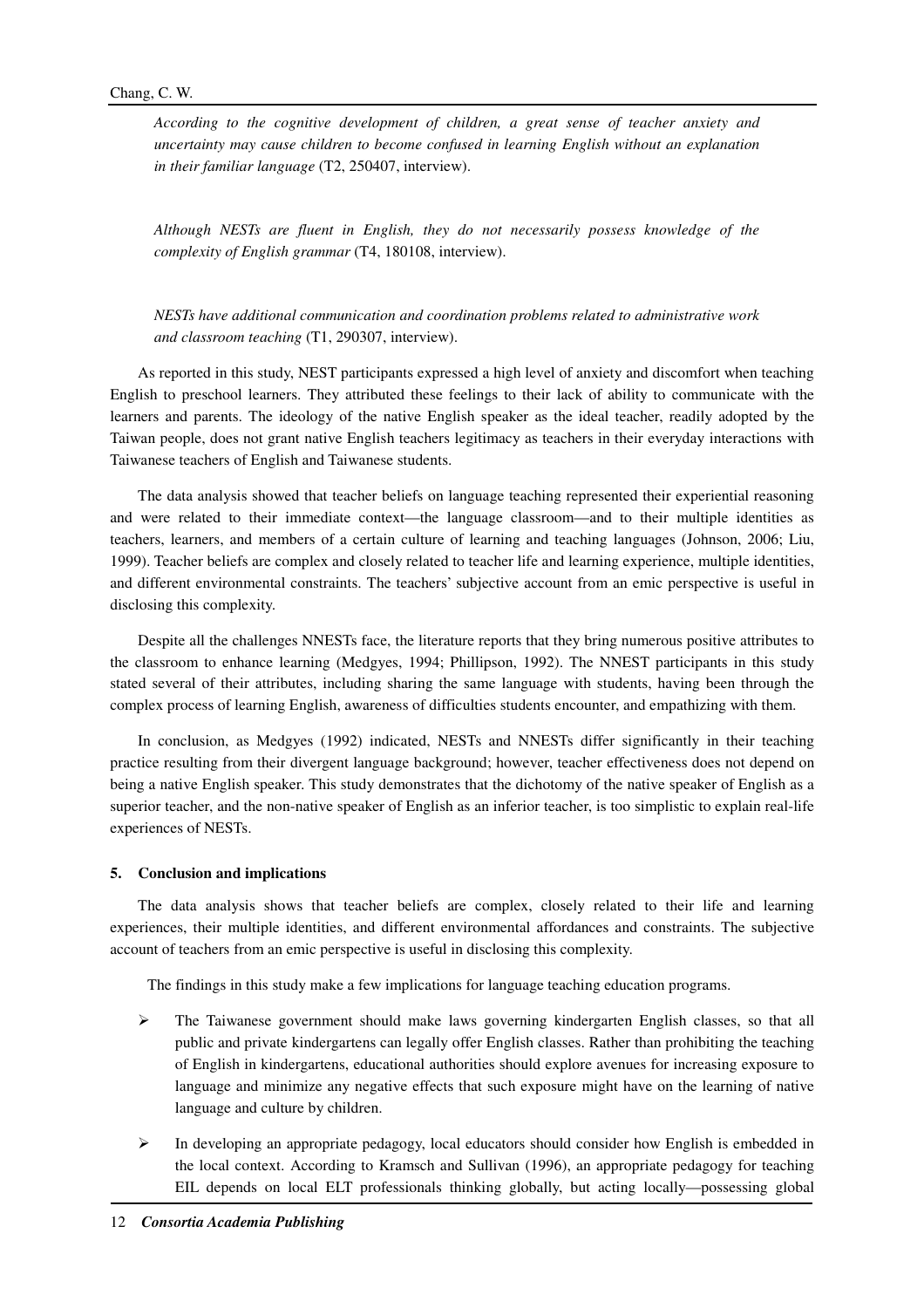*According to the cognitive development of children, a great sense of teacher anxiety and uncertainty may cause children to become confused in learning English without an explanation in their familiar language* (T2, 250407, interview).

*Although NESTs are fluent in English, they do not necessarily possess knowledge of the complexity of English grammar* (T4, 180108, interview).

*NESTs have additional communication and coordination problems related to administrative work and classroom teaching* (T1, 290307, interview).

As reported in this study, NEST participants expressed a high level of anxiety and discomfort when teaching English to preschool learners. They attributed these feelings to their lack of ability to communicate with the learners and parents. The ideology of the native English speaker as the ideal teacher, readily adopted by the Taiwan people, does not grant native English teachers legitimacy as teachers in their everyday interactions with Taiwanese teachers of English and Taiwanese students.

The data analysis showed that teacher beliefs on language teaching represented their experiential reasoning and were related to their immediate context—the language classroom—and to their multiple identities as teachers, learners, and members of a certain culture of learning and teaching languages (Johnson, 2006; Liu, 1999). Teacher beliefs are complex and closely related to teacher life and learning experience, multiple identities, and different environmental constraints. The teachers' subjective account from an emic perspective is useful in disclosing this complexity.

Despite all the challenges NNESTs face, the literature reports that they bring numerous positive attributes to the classroom to enhance learning (Medgyes, 1994; Phillipson, 1992). The NNEST participants in this study stated several of their attributes, including sharing the same language with students, having been through the complex process of learning English, awareness of difficulties students encounter, and empathizing with them.

In conclusion, as Medgyes (1992) indicated, NESTs and NNESTs differ significantly in their teaching practice resulting from their divergent language background; however, teacher effectiveness does not depend on being a native English speaker. This study demonstrates that the dichotomy of the native speaker of English as a superior teacher, and the non-native speaker of English as an inferior teacher, is too simplistic to explain real-life experiences of NESTs.

## **5. Conclusion and implications**

The data analysis shows that teacher beliefs are complex, closely related to their life and learning experiences, their multiple identities, and different environmental affordances and constraints. The subjective account of teachers from an emic perspective is useful in disclosing this complexity.

The findings in this study make a few implications for language teaching education programs.

- $\triangleright$  The Taiwanese government should make laws governing kindergarten English classes, so that all public and private kindergartens can legally offer English classes. Rather than prohibiting the teaching of English in kindergartens, educational authorities should explore avenues for increasing exposure to language and minimize any negative effects that such exposure might have on the learning of native language and culture by children.
- $\triangleright$  In developing an appropriate pedagogy, local educators should consider how English is embedded in the local context. According to Kramsch and Sullivan (1996), an appropriate pedagogy for teaching EIL depends on local ELT professionals thinking globally, but acting locally—possessing global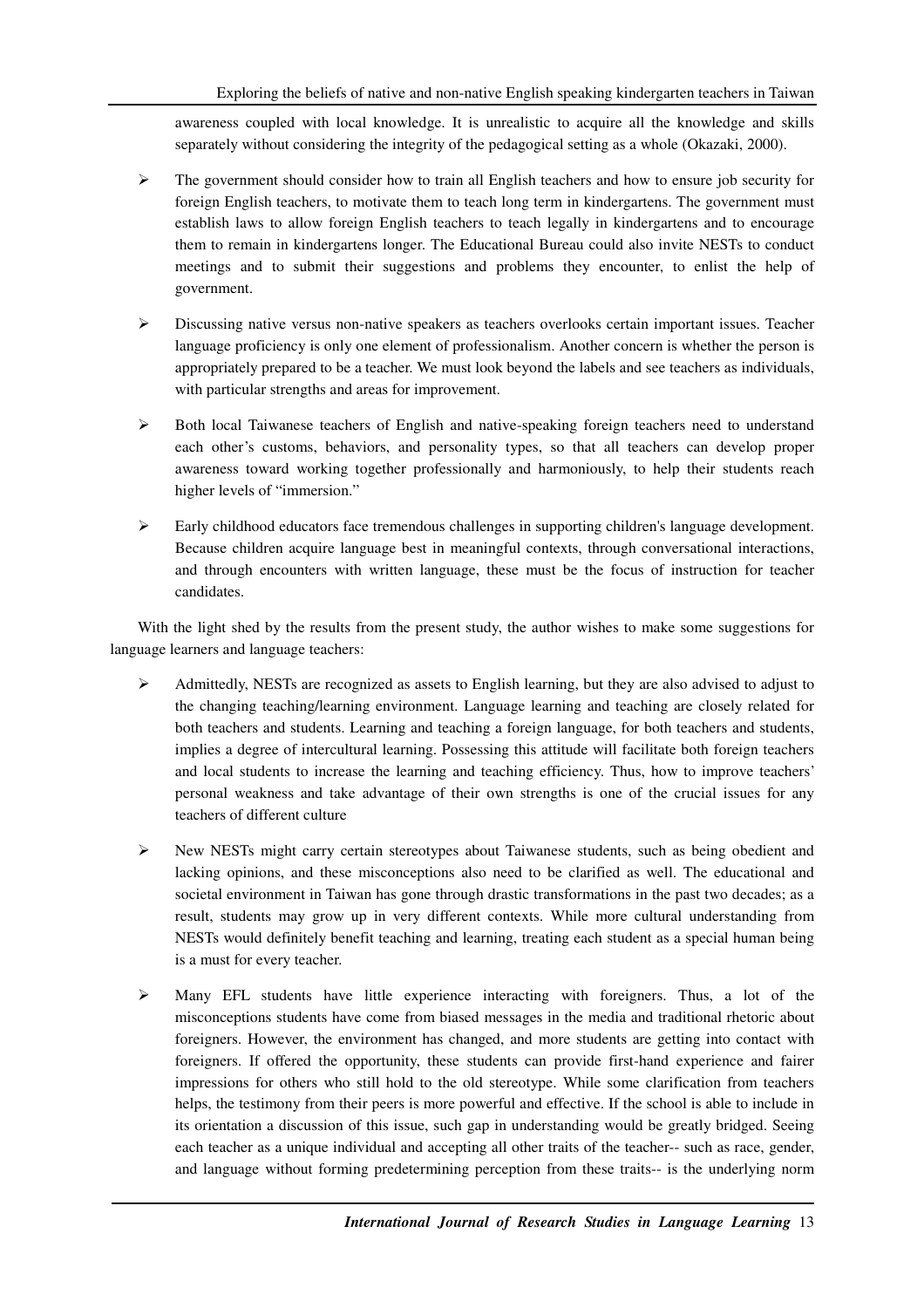awareness coupled with local knowledge. It is unrealistic to acquire all the knowledge and skills separately without considering the integrity of the pedagogical setting as a whole (Okazaki, 2000).

- $\triangleright$  The government should consider how to train all English teachers and how to ensure job security for foreign English teachers, to motivate them to teach long term in kindergartens. The government must establish laws to allow foreign English teachers to teach legally in kindergartens and to encourage them to remain in kindergartens longer. The Educational Bureau could also invite NESTs to conduct meetings and to submit their suggestions and problems they encounter, to enlist the help of government.
- Discussing native versus non-native speakers as teachers overlooks certain important issues. Teacher language proficiency is only one element of professionalism. Another concern is whether the person is appropriately prepared to be a teacher. We must look beyond the labels and see teachers as individuals, with particular strengths and areas for improvement.
- $\triangleright$  Both local Taiwanese teachers of English and native-speaking foreign teachers need to understand each other's customs, behaviors, and personality types, so that all teachers can develop proper awareness toward working together professionally and harmoniously, to help their students reach higher levels of "immersion."
- $\triangleright$  Early childhood educators face tremendous challenges in supporting children's language development. Because children acquire language best in meaningful contexts, through conversational interactions, and through encounters with written language, these must be the focus of instruction for teacher candidates.

With the light shed by the results from the present study, the author wishes to make some suggestions for language learners and language teachers:

- $\triangleright$  Admittedly, NESTs are recognized as assets to English learning, but they are also advised to adjust to the changing teaching/learning environment. Language learning and teaching are closely related for both teachers and students. Learning and teaching a foreign language, for both teachers and students, implies a degree of intercultural learning. Possessing this attitude will facilitate both foreign teachers and local students to increase the learning and teaching efficiency. Thus, how to improve teachers' personal weakness and take advantage of their own strengths is one of the crucial issues for any teachers of different culture
- $\triangleright$  New NESTs might carry certain stereotypes about Taiwanese students, such as being obedient and lacking opinions, and these misconceptions also need to be clarified as well. The educational and societal environment in Taiwan has gone through drastic transformations in the past two decades; as a result, students may grow up in very different contexts. While more cultural understanding from NESTs would definitely benefit teaching and learning, treating each student as a special human being is a must for every teacher.
- $\triangleright$  Many EFL students have little experience interacting with foreigners. Thus, a lot of the misconceptions students have come from biased messages in the media and traditional rhetoric about foreigners. However, the environment has changed, and more students are getting into contact with foreigners. If offered the opportunity, these students can provide first-hand experience and fairer impressions for others who still hold to the old stereotype. While some clarification from teachers helps, the testimony from their peers is more powerful and effective. If the school is able to include in its orientation a discussion of this issue, such gap in understanding would be greatly bridged. Seeing each teacher as a unique individual and accepting all other traits of the teacher-- such as race, gender, and language without forming predetermining perception from these traits-- is the underlying norm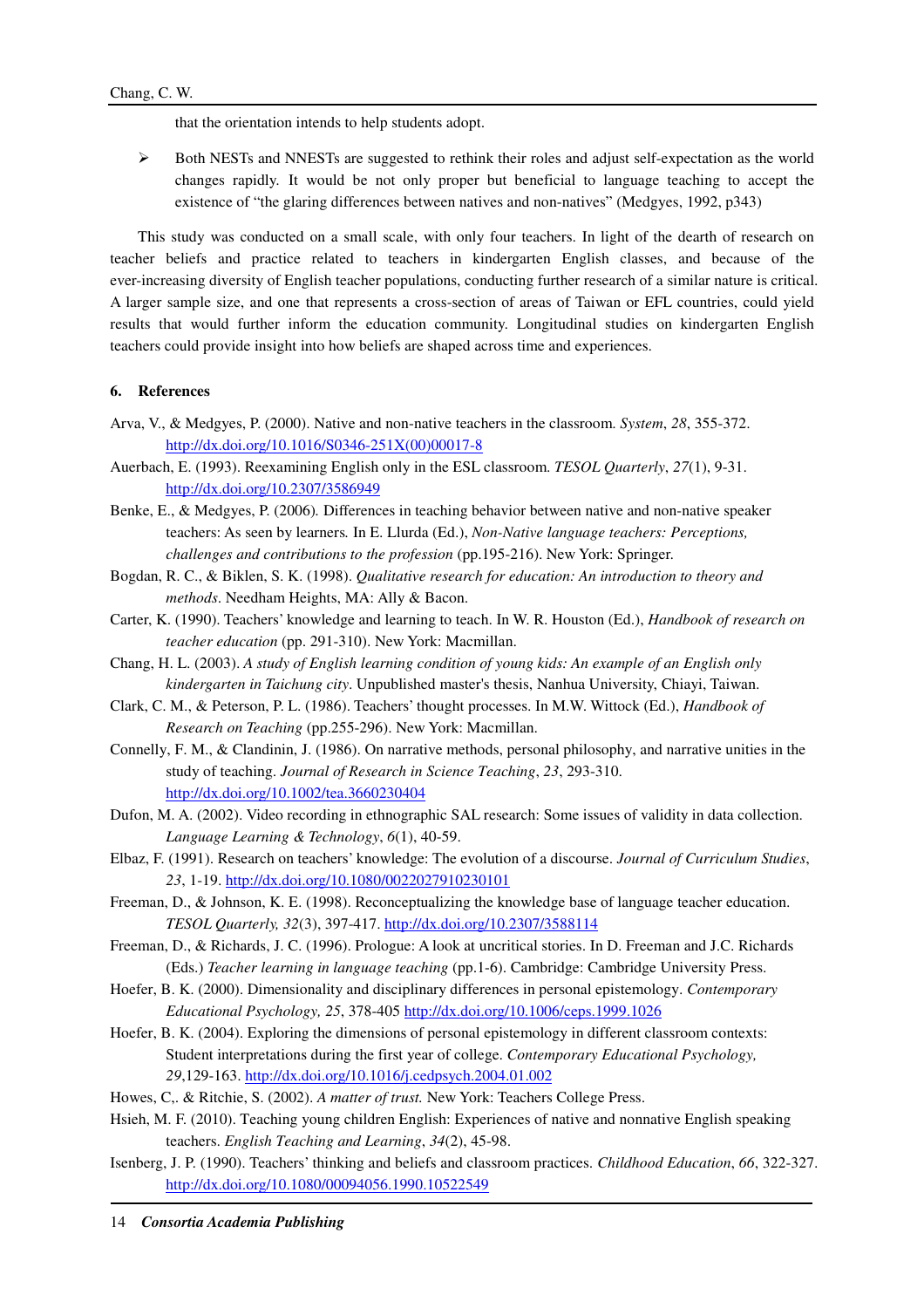that the orientation intends to help students adopt.

 Both NESTs and NNESTs are suggested to rethink their roles and adjust self-expectation as the world changes rapidly. It would be not only proper but beneficial to language teaching to accept the existence of "the glaring differences between natives and non-natives" (Medgyes, 1992, p343)

This study was conducted on a small scale, with only four teachers. In light of the dearth of research on teacher beliefs and practice related to teachers in kindergarten English classes, and because of the ever-increasing diversity of English teacher populations, conducting further research of a similar nature is critical. A larger sample size, and one that represents a cross-section of areas of Taiwan or EFL countries, could yield results that would further inform the education community. Longitudinal studies on kindergarten English teachers could provide insight into how beliefs are shaped across time and experiences.

## **6. References**

- Arva, V., & Medgyes, P. (2000). Native and non-native teachers in the classroom. *System*, *28*, 355-372. http://dx.doi.org/10.1016/S0346-251X(00)00017-8
- Auerbach, E. (1993). Reexamining English only in the ESL classroom. *TESOL Quarterly*, *27*(1), 9-31. http://dx.doi.org/10.2307/3586949
- Benke, E., & Medgyes, P. (2006)*.* Differences in teaching behavior between native and non-native speaker teachers: As seen by learners*.* In E. Llurda (Ed.), *Non-Native language teachers: Perceptions, challenges and contributions to the profession* (pp.195-216). New York: Springer.
- Bogdan, R. C., & Biklen, S. K. (1998). *Qualitative research for education: An introduction to theory and methods*. Needham Heights, MA: Ally & Bacon.
- Carter, K. (1990). Teachers' knowledge and learning to teach. In W. R. Houston (Ed.), *Handbook of research on teacher education* (pp. 291-310). New York: Macmillan.
- Chang, H. L. (2003). *A study of English learning condition of young kids: An example of an English only kindergarten in Taichung city*. Unpublished master's thesis, Nanhua University, Chiayi, Taiwan.
- Clark, C. M., & Peterson, P. L. (1986). Teachers' thought processes. In M.W. Wittock (Ed.), *Handbook of Research on Teaching* (pp.255-296). New York: Macmillan.
- Connelly, F. M., & Clandinin, J. (1986). On narrative methods, personal philosophy, and narrative unities in the study of teaching. *Journal of Research in Science Teaching*, *23*, 293-310. http://dx.doi.org/10.1002/tea.3660230404
- Dufon, M. A. (2002). Video recording in ethnographic SAL research: Some issues of validity in data collection. *Language Learning & Technology*, *6*(1), 40-59.
- Elbaz, F. (1991). Research on teachers' knowledge: The evolution of a discourse. *Journal of Curriculum Studies*, *23*, 1-19. http://dx.doi.org/10.1080/0022027910230101
- Freeman, D., & Johnson, K. E. (1998). Reconceptualizing the knowledge base of language teacher education. *TESOL Quarterly, 32*(3), 397-417. http://dx.doi.org/10.2307/3588114
- Freeman, D., & Richards, J. C. (1996). Prologue: A look at uncritical stories. In D. Freeman and J.C. Richards (Eds.) *Teacher learning in language teaching* (pp.1-6). Cambridge: Cambridge University Press.
- Hoefer, B. K. (2000). Dimensionality and disciplinary differences in personal epistemology. *Contemporary Educational Psychology, 25*, 378-405 http://dx.doi.org/10.1006/ceps.1999.1026
- Hoefer, B. K. (2004). Exploring the dimensions of personal epistemology in different classroom contexts: Student interpretations during the first year of college. *Contemporary Educational Psychology, 29*,129-163. http://dx.doi.org/10.1016/j.cedpsych.2004.01.002
- Howes, C,. & Ritchie, S. (2002). *A matter of trust.* New York: Teachers College Press.
- Hsieh, M. F. (2010). Teaching young children English: Experiences of native and nonnative English speaking teachers. *English Teaching and Learning*, *34*(2), 45-98.
- Isenberg, J. P. (1990). Teachers' thinking and beliefs and classroom practices. *Childhood Education*, *66*, 322-327. http://dx.doi.org/10.1080/00094056.1990.10522549